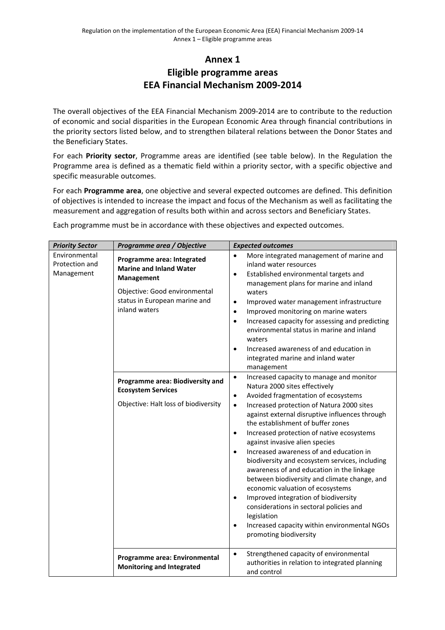## **Annex 1 Eligible programme areas EEA Financial Mechanism 2009‐2014**

The overall objectives of the EEA Financial Mechanism 2009‐2014 are to contribute to the reduction of economic and social disparities in the European Economic Area through financial contributions in the priority sectors listed below, and to strengthen bilateral relations between the Donor States and the Beneficiary States.

For each **Priority sector**, Programme areas are identified (see table below). In the Regulation the Programme area is defined as a thematic field within a priority sector, with a specific objective and specific measurable outcomes.

For each **Programme area**, one objective and several expected outcomes are defined. This definition of objectives is intended to increase the impact and focus of the Mechanism as well as facilitating the measurement and aggregation of results both within and across sectors and Beneficiary States.

Each programme must be in accordance with these objectives and expected outcomes.

| <b>Priority Sector</b>                        | Programme area / Objective                                                                                                                                                                                                                                                    | <b>Expected outcomes</b>                                                                                                                                                                                                                                                                                                                                                                                                                                                                                                                                                                                                                                                                                                                                                                                                                                                                                                                                                                                                                                                                                                                                                                                                                                                                                                                                                  |
|-----------------------------------------------|-------------------------------------------------------------------------------------------------------------------------------------------------------------------------------------------------------------------------------------------------------------------------------|---------------------------------------------------------------------------------------------------------------------------------------------------------------------------------------------------------------------------------------------------------------------------------------------------------------------------------------------------------------------------------------------------------------------------------------------------------------------------------------------------------------------------------------------------------------------------------------------------------------------------------------------------------------------------------------------------------------------------------------------------------------------------------------------------------------------------------------------------------------------------------------------------------------------------------------------------------------------------------------------------------------------------------------------------------------------------------------------------------------------------------------------------------------------------------------------------------------------------------------------------------------------------------------------------------------------------------------------------------------------------|
| Environmental<br>Protection and<br>Management | Programme area: Integrated<br><b>Marine and Inland Water</b><br><b>Management</b><br>Objective: Good environmental<br>status in European marine and<br>inland waters<br>Programme area: Biodiversity and<br><b>Ecosystem Services</b><br>Objective: Halt loss of biodiversity | More integrated management of marine and<br>inland water resources<br>Established environmental targets and<br>$\bullet$<br>management plans for marine and inland<br>waters<br>Improved water management infrastructure<br>$\bullet$<br>Improved monitoring on marine waters<br>$\bullet$<br>Increased capacity for assessing and predicting<br>$\bullet$<br>environmental status in marine and inland<br>waters<br>Increased awareness of and education in<br>$\bullet$<br>integrated marine and inland water<br>management<br>Increased capacity to manage and monitor<br>$\bullet$<br>Natura 2000 sites effectively<br>Avoided fragmentation of ecosystems<br>$\bullet$<br>Increased protection of Natura 2000 sites<br>$\bullet$<br>against external disruptive influences through<br>the establishment of buffer zones<br>Increased protection of native ecosystems<br>$\bullet$<br>against invasive alien species<br>Increased awareness of and education in<br>$\bullet$<br>biodiversity and ecosystem services, including<br>awareness of and education in the linkage<br>between biodiversity and climate change, and<br>economic valuation of ecosystems<br>Improved integration of biodiversity<br>$\bullet$<br>considerations in sectoral policies and<br>legislation<br>Increased capacity within environmental NGOs<br>$\bullet$<br>promoting biodiversity |
|                                               | Programme area: Environmental<br><b>Monitoring and Integrated</b>                                                                                                                                                                                                             | Strengthened capacity of environmental<br>$\bullet$<br>authorities in relation to integrated planning<br>and control                                                                                                                                                                                                                                                                                                                                                                                                                                                                                                                                                                                                                                                                                                                                                                                                                                                                                                                                                                                                                                                                                                                                                                                                                                                      |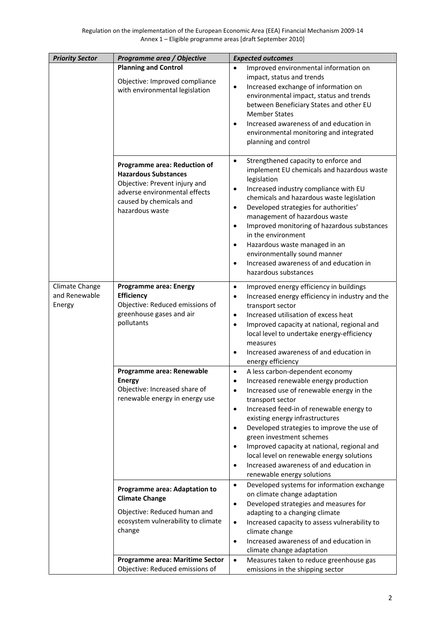| <b>Priority Sector</b>                    | Programme area / Objective                                                                                                                                                  | <b>Expected outcomes</b>                                                                                                                                                                                                                                                                                                                                                                                                                                                                                                                             |
|-------------------------------------------|-----------------------------------------------------------------------------------------------------------------------------------------------------------------------------|------------------------------------------------------------------------------------------------------------------------------------------------------------------------------------------------------------------------------------------------------------------------------------------------------------------------------------------------------------------------------------------------------------------------------------------------------------------------------------------------------------------------------------------------------|
|                                           | <b>Planning and Control</b><br>Objective: Improved compliance<br>with environmental legislation                                                                             | Improved environmental information on<br>$\bullet$<br>impact, status and trends<br>Increased exchange of information on<br>$\bullet$<br>environmental impact, status and trends<br>between Beneficiary States and other EU<br><b>Member States</b><br>Increased awareness of and education in<br>environmental monitoring and integrated<br>planning and control                                                                                                                                                                                     |
|                                           | Programme area: Reduction of<br><b>Hazardous Substances</b><br>Objective: Prevent injury and<br>adverse environmental effects<br>caused by chemicals and<br>hazardous waste | Strengthened capacity to enforce and<br>$\bullet$<br>implement EU chemicals and hazardous waste<br>legislation<br>Increased industry compliance with EU<br>$\bullet$<br>chemicals and hazardous waste legislation<br>Developed strategies for authorities'<br>$\bullet$<br>management of hazardous waste<br>Improved monitoring of hazardous substances<br>$\bullet$<br>in the environment<br>Hazardous waste managed in an<br>environmentally sound manner<br>Increased awareness of and education in<br>$\bullet$<br>hazardous substances          |
| Climate Change<br>and Renewable<br>Energy | <b>Programme area: Energy</b><br><b>Efficiency</b><br>Objective: Reduced emissions of<br>greenhouse gases and air<br>pollutants                                             | Improved energy efficiency in buildings<br>$\bullet$<br>Increased energy efficiency in industry and the<br>$\bullet$<br>transport sector<br>Increased utilisation of excess heat<br>$\bullet$<br>Improved capacity at national, regional and<br>$\bullet$<br>local level to undertake energy-efficiency<br>measures<br>Increased awareness of and education in<br>energy efficiency                                                                                                                                                                  |
|                                           | Programme area: Renewable<br><b>Energy</b><br>Objective: Increased share of<br>renewable energy in energy use                                                               | A less carbon-dependent economy<br>$\bullet$<br>Increased renewable energy production<br>$\bullet$<br>Increased use of renewable energy in the<br>$\bullet$<br>transport sector<br>Increased feed-in of renewable energy to<br>$\bullet$<br>existing energy infrastructures<br>Developed strategies to improve the use of<br>$\bullet$<br>green investment schemes<br>Improved capacity at national, regional and<br>local level on renewable energy solutions<br>Increased awareness of and education in<br>$\bullet$<br>renewable energy solutions |
|                                           | Programme area: Adaptation to<br><b>Climate Change</b><br>Objective: Reduced human and<br>ecosystem vulnerability to climate<br>change<br>Programme area: Maritime Sector   | Developed systems for information exchange<br>$\bullet$<br>on climate change adaptation<br>Developed strategies and measures for<br>$\bullet$<br>adapting to a changing climate<br>Increased capacity to assess vulnerability to<br>$\bullet$<br>climate change<br>Increased awareness of and education in<br>$\bullet$<br>climate change adaptation<br>Measures taken to reduce greenhouse gas<br>$\bullet$                                                                                                                                         |
|                                           | Objective: Reduced emissions of                                                                                                                                             | emissions in the shipping sector                                                                                                                                                                                                                                                                                                                                                                                                                                                                                                                     |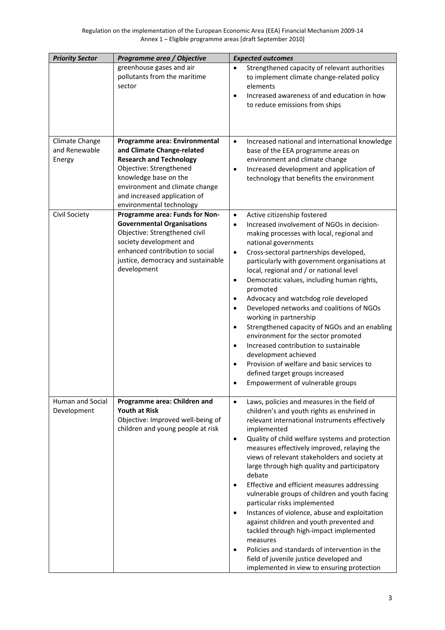| <b>Priority Sector</b>                    | Programme area / Objective                                                                                                                                                                                                                      | <b>Expected outcomes</b>                                                                                                                                                                                                                                                                                                                                                                                                                                                                                                                                                                                                                                                                                                                                                                                                                                                 |
|-------------------------------------------|-------------------------------------------------------------------------------------------------------------------------------------------------------------------------------------------------------------------------------------------------|--------------------------------------------------------------------------------------------------------------------------------------------------------------------------------------------------------------------------------------------------------------------------------------------------------------------------------------------------------------------------------------------------------------------------------------------------------------------------------------------------------------------------------------------------------------------------------------------------------------------------------------------------------------------------------------------------------------------------------------------------------------------------------------------------------------------------------------------------------------------------|
|                                           | greenhouse gases and air<br>pollutants from the maritime<br>sector                                                                                                                                                                              | Strengthened capacity of relevant authorities<br>$\bullet$<br>to implement climate change-related policy<br>elements<br>Increased awareness of and education in how<br>$\bullet$<br>to reduce emissions from ships                                                                                                                                                                                                                                                                                                                                                                                                                                                                                                                                                                                                                                                       |
| Climate Change<br>and Renewable<br>Energy | Programme area: Environmental<br>and Climate Change-related<br><b>Research and Technology</b><br>Objective: Strengthened<br>knowledge base on the<br>environment and climate change<br>and increased application of<br>environmental technology | Increased national and international knowledge<br>$\bullet$<br>base of the EEA programme areas on<br>environment and climate change<br>Increased development and application of<br>$\bullet$<br>technology that benefits the environment                                                                                                                                                                                                                                                                                                                                                                                                                                                                                                                                                                                                                                 |
| Civil Society                             | Programme area: Funds for Non-<br><b>Governmental Organisations</b><br>Objective: Strengthened civil<br>society development and<br>enhanced contribution to social<br>justice, democracy and sustainable<br>development                         | Active citizenship fostered<br>$\bullet$<br>Increased involvement of NGOs in decision-<br>$\bullet$<br>making processes with local, regional and<br>national governments<br>Cross-sectoral partnerships developed,<br>$\bullet$<br>particularly with government organisations at<br>local, regional and / or national level<br>Democratic values, including human rights,<br>$\bullet$<br>promoted<br>Advocacy and watchdog role developed<br>$\bullet$<br>Developed networks and coalitions of NGOs<br>$\bullet$<br>working in partnership<br>Strengthened capacity of NGOs and an enabling<br>$\bullet$<br>environment for the sector promoted<br>Increased contribution to sustainable<br>$\bullet$<br>development achieved<br>Provision of welfare and basic services to<br>$\bullet$<br>defined target groups increased<br>Empowerment of vulnerable groups         |
| Human and Social<br>Development           | Programme area: Children and<br><b>Youth at Risk</b><br>Objective: Improved well-being of<br>children and young people at risk                                                                                                                  | Laws, policies and measures in the field of<br>$\bullet$<br>children's and youth rights as enshrined in<br>relevant international instruments effectively<br>implemented<br>Quality of child welfare systems and protection<br>$\bullet$<br>measures effectively improved, relaying the<br>views of relevant stakeholders and society at<br>large through high quality and participatory<br>debate<br>Effective and efficient measures addressing<br>$\bullet$<br>vulnerable groups of children and youth facing<br>particular risks implemented<br>Instances of violence, abuse and exploitation<br>$\bullet$<br>against children and youth prevented and<br>tackled through high-impact implemented<br>measures<br>Policies and standards of intervention in the<br>$\bullet$<br>field of juvenile justice developed and<br>implemented in view to ensuring protection |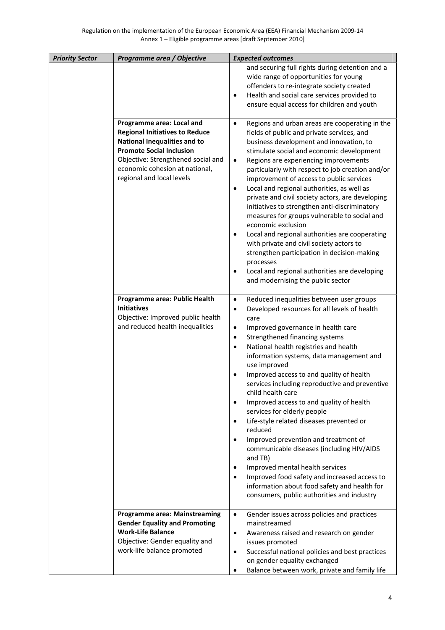| <b>Priority Sector</b> | Programme area / Objective                                                                                                                                                                                                                        | <b>Expected outcomes</b>                                                                                                                                                                                                                                                                                                                                                                                                                                                                                                                                                                                                                                                                                                                                                                                                                                                                                                                              |
|------------------------|---------------------------------------------------------------------------------------------------------------------------------------------------------------------------------------------------------------------------------------------------|-------------------------------------------------------------------------------------------------------------------------------------------------------------------------------------------------------------------------------------------------------------------------------------------------------------------------------------------------------------------------------------------------------------------------------------------------------------------------------------------------------------------------------------------------------------------------------------------------------------------------------------------------------------------------------------------------------------------------------------------------------------------------------------------------------------------------------------------------------------------------------------------------------------------------------------------------------|
|                        |                                                                                                                                                                                                                                                   | and securing full rights during detention and a<br>wide range of opportunities for young<br>offenders to re-integrate society created<br>Health and social care services provided to<br>$\bullet$<br>ensure equal access for children and youth                                                                                                                                                                                                                                                                                                                                                                                                                                                                                                                                                                                                                                                                                                       |
|                        | Programme area: Local and<br><b>Regional Initiatives to Reduce</b><br><b>National Inequalities and to</b><br><b>Promote Social Inclusion</b><br>Objective: Strengthened social and<br>economic cohesion at national,<br>regional and local levels | Regions and urban areas are cooperating in the<br>$\bullet$<br>fields of public and private services, and<br>business development and innovation, to<br>stimulate social and economic development<br>Regions are experiencing improvements<br>$\bullet$<br>particularly with respect to job creation and/or<br>improvement of access to public services<br>Local and regional authorities, as well as<br>$\bullet$<br>private and civil society actors, are developing<br>initiatives to strengthen anti-discriminatory<br>measures for groups vulnerable to social and<br>economic exclusion<br>Local and regional authorities are cooperating<br>٠<br>with private and civil society actors to<br>strengthen participation in decision-making<br>processes<br>Local and regional authorities are developing<br>٠<br>and modernising the public sector                                                                                               |
|                        | Programme area: Public Health<br><b>Initiatives</b><br>Objective: Improved public health<br>and reduced health inequalities                                                                                                                       | Reduced inequalities between user groups<br>$\bullet$<br>Developed resources for all levels of health<br>$\bullet$<br>care<br>Improved governance in health care<br>$\bullet$<br>Strengthened financing systems<br>$\bullet$<br>National health registries and health<br>$\bullet$<br>information systems, data management and<br>use improved<br>Improved access to and quality of health<br>services including reproductive and preventive<br>child health care<br>Improved access to and quality of health<br>$\bullet$<br>services for elderly people<br>Life-style related diseases prevented or<br>$\bullet$<br>reduced<br>Improved prevention and treatment of<br>$\bullet$<br>communicable diseases (including HIV/AIDS<br>and TB)<br>Improved mental health services<br>$\bullet$<br>Improved food safety and increased access to<br>$\bullet$<br>information about food safety and health for<br>consumers, public authorities and industry |
|                        | <b>Programme area: Mainstreaming</b><br><b>Gender Equality and Promoting</b><br><b>Work-Life Balance</b><br>Objective: Gender equality and<br>work-life balance promoted                                                                          | $\bullet$<br>Gender issues across policies and practices<br>mainstreamed<br>Awareness raised and research on gender<br>$\bullet$<br>issues promoted<br>Successful national policies and best practices<br>$\bullet$<br>on gender equality exchanged<br>Balance between work, private and family life                                                                                                                                                                                                                                                                                                                                                                                                                                                                                                                                                                                                                                                  |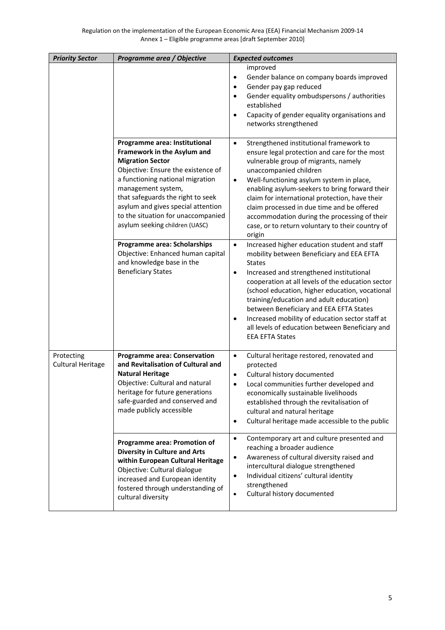| <b>Priority Sector</b>                 | Programme area / Objective                                                                                                                                                                                                                                                                                                                                                 | <b>Expected outcomes</b>                                                                                                                                                                                                                                                                                                                                                                                                                                                                                                                                      |
|----------------------------------------|----------------------------------------------------------------------------------------------------------------------------------------------------------------------------------------------------------------------------------------------------------------------------------------------------------------------------------------------------------------------------|---------------------------------------------------------------------------------------------------------------------------------------------------------------------------------------------------------------------------------------------------------------------------------------------------------------------------------------------------------------------------------------------------------------------------------------------------------------------------------------------------------------------------------------------------------------|
|                                        |                                                                                                                                                                                                                                                                                                                                                                            | improved<br>Gender balance on company boards improved<br>$\bullet$<br>Gender pay gap reduced<br>$\bullet$<br>Gender equality ombudspersons / authorities<br>$\bullet$<br>established<br>Capacity of gender equality organisations and<br>$\bullet$<br>networks strengthened                                                                                                                                                                                                                                                                                   |
|                                        | Programme area: Institutional<br>Framework in the Asylum and<br><b>Migration Sector</b><br>Objective: Ensure the existence of<br>a functioning national migration<br>management system,<br>that safeguards the right to seek<br>asylum and gives special attention<br>to the situation for unaccompanied<br>asylum seeking children (UASC)<br>Programme area: Scholarships | Strengthened institutional framework to<br>$\bullet$<br>ensure legal protection and care for the most<br>vulnerable group of migrants, namely<br>unaccompanied children<br>Well-functioning asylum system in place,<br>$\bullet$<br>enabling asylum-seekers to bring forward their<br>claim for international protection, have their<br>claim processed in due time and be offered<br>accommodation during the processing of their<br>case, or to return voluntary to their country of<br>origin<br>Increased higher education student and staff<br>$\bullet$ |
|                                        | Objective: Enhanced human capital<br>and knowledge base in the<br><b>Beneficiary States</b>                                                                                                                                                                                                                                                                                | mobility between Beneficiary and EEA EFTA<br><b>States</b><br>Increased and strengthened institutional<br>$\bullet$<br>cooperation at all levels of the education sector<br>(school education, higher education, vocational<br>training/education and adult education)<br>between Beneficiary and EEA EFTA States<br>Increased mobility of education sector staff at<br>$\bullet$<br>all levels of education between Beneficiary and<br><b>EEA EFTA States</b>                                                                                                |
| Protecting<br><b>Cultural Heritage</b> | <b>Programme area: Conservation</b><br>and Revitalisation of Cultural and<br><b>Natural Heritage</b><br>Objective: Cultural and natural<br>heritage for future generations<br>safe-guarded and conserved and<br>made publicly accessible                                                                                                                                   | Cultural heritage restored, renovated and<br>$\bullet$<br>protected<br>Cultural history documented<br>٠<br>Local communities further developed and<br>economically sustainable livelihoods<br>established through the revitalisation of<br>cultural and natural heritage<br>Cultural heritage made accessible to the public<br>$\bullet$                                                                                                                                                                                                                      |
|                                        | Programme area: Promotion of<br><b>Diversity in Culture and Arts</b><br>within European Cultural Heritage<br>Objective: Cultural dialogue<br>increased and European identity<br>fostered through understanding of<br>cultural diversity                                                                                                                                    | Contemporary art and culture presented and<br>$\bullet$<br>reaching a broader audience<br>Awareness of cultural diversity raised and<br>$\bullet$<br>intercultural dialogue strengthened<br>Individual citizens' cultural identity<br>$\bullet$<br>strengthened<br>Cultural history documented<br>$\bullet$                                                                                                                                                                                                                                                   |